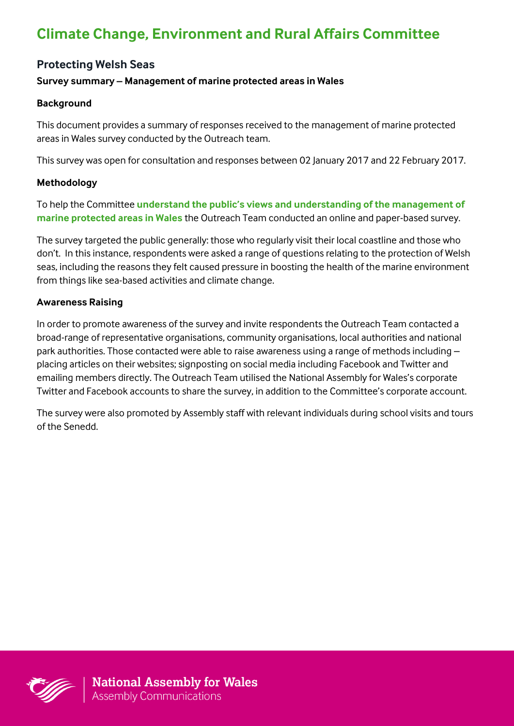# **Climate Change, Environment and Rural Affairs Committee**

# **Protecting Welsh Seas**

#### **Survey summary – Management of marine protected areas in Wales**

#### **Background**

This document provides a summary of responses received to the management of marine protected areas in Wales survey conducted by the Outreach team.

This survey was open for consultation and responses between 02 January 2017 and 22 February 2017.

#### **Methodology**

To help the Committee **understand the public's views and understanding of the management of marine protected areas in Wales** the Outreach Team conducted an online and paper-based survey.

The survey targeted the public generally: those who regularly visit their local coastline and those who don't. In this instance, respondents were asked a range of questions relating to the protection of Welsh seas, including the reasons they felt caused pressure in boosting the health of the marine environment from things like sea-based activities and climate change.

#### **Awareness Raising**

In order to promote awareness of the survey and invite respondents the Outreach Team contacted a broad-range of representative organisations, community organisations, local authorities and national park authorities. Those contacted were able to raise awareness using a range of methods including – placing articles on their websites; signposting on social media including Facebook and Twitter and emailing members directly. The Outreach Team utilised the National Assembly for Wales's corporate Twitter and Facebook accounts to share the survey, in addition to the Committee's corporate account.

The survey were also promoted by Assembly staff with relevant individuals during school visits and tours of the Senedd.

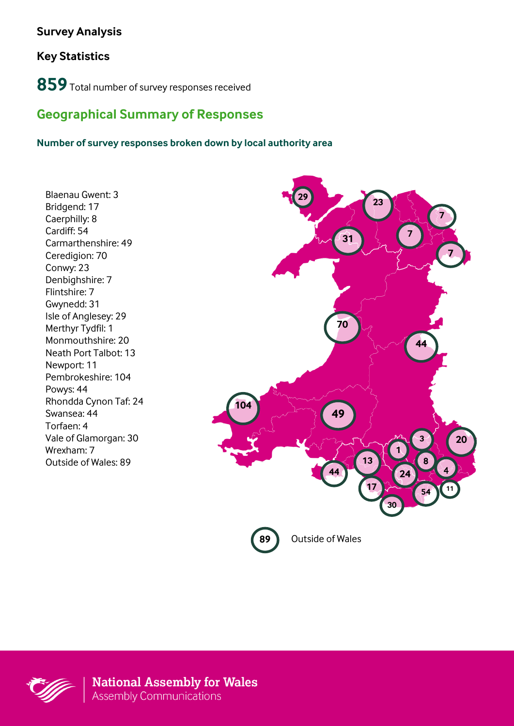# **Survey Analysis**

# **Key Statistics**

**859**Total number of survey responses received

# **Geographical Summary of Responses**

#### **Number of survey responses broken down by local authority area**

Blaenau Gwent: 3 Bridgend: 17 Caerphilly: 8 Cardiff: 54 Carmarthenshire: 49 Ceredigion: 70 Conwy: 23 Denbighshire: 7 Flintshire: 7 Gwynedd: 31 Isle of Anglesey: 29 Merthyr Tydfil: 1 Monmouthshire: 20 Neath Port Talbot: 13 Newport: 11 Pembrokeshire: 104 Powys: 44 Rhondda Cynon Taf: 24 Swansea: 44 Torfaen: 4 Vale of Glamorgan: 30 Wrexham: 7 Outside of Wales: 89



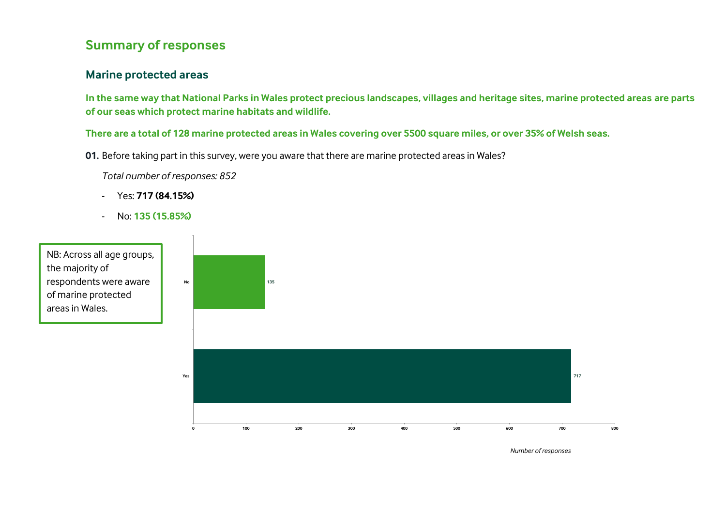# **Summary of responses**

#### **Marine protected areas**

**In the same way that National Parks in Wales protect precious landscapes, villages and heritage sites, marine protected areas are parts of our seas which protect marine habitats and wildlife.** 

**There are a total of 128 marine protected areas in Wales covering over 5500 square miles, or over 35% of Welsh seas.** 

**01.** Before taking part in this survey, were you aware that there are marine protected areas in Wales?

*Total number of responses: 852*

- Yes: **717 (84.15%)**
- No: **135 (15.85%)**

NB: Across all age groups, the majority of respondents were aware of marine protected areas in Wales.



*Number of responses*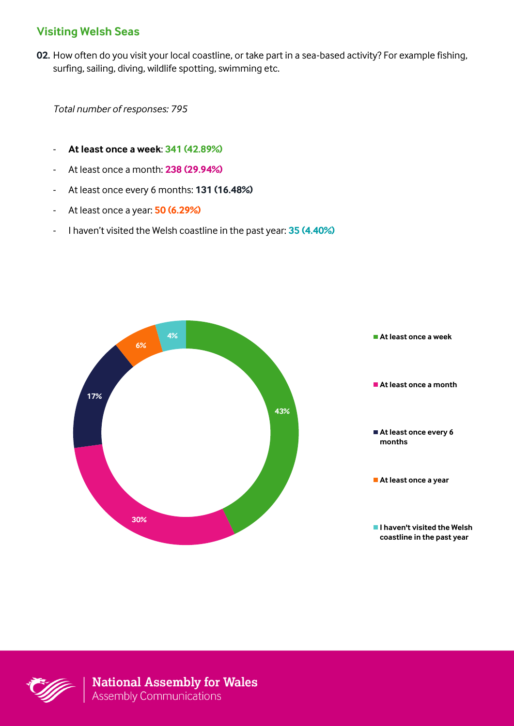# **Visiting Welsh Seas**

**02.** How often do you visit your local coastline, or take part in a sea-based activity? For example fishing, surfing, sailing, diving, wildlife spotting, swimming etc.

*Total number of responses: 795*

- **At least once a week**: **341 (42.89%)**
- At least once a month: **238 (29.94%)**
- At least once every 6 months: **131 (16.48%)**
- At least once a year: **50 (6.29%)**
- I haven't visited the Welsh coastline in the past year: **35 (4.40%)**



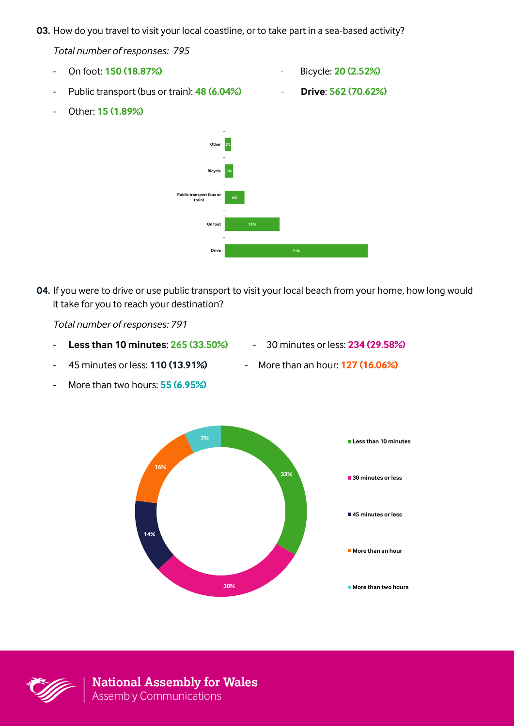**03.** How do you travel to visit your local coastline, or to take part in a sea-based activity?

*Total number of responses: 795*

- On foot: **150 (18.87%)** Bicycle: **20 (2.52%)**
- Public transport (bus or train): **48 (6.04%) Drive**: **562 (70.62%)**
- -

- Other: **15 (1.89%)**



**04.** If you were to drive or use public transport to visit your local beach from your home, how long would it take for you to reach your destination?

*Total number of responses: 791*

- **Less than 10 minutes**: **265 (33.50%)** 30 minutes or less: **234 (29.58%)**
- 45 minutes or less: **110 (13.91%)** More than an hour: **127 (16.06%)**
- 
- More than two hours: **55 (6.95%)**



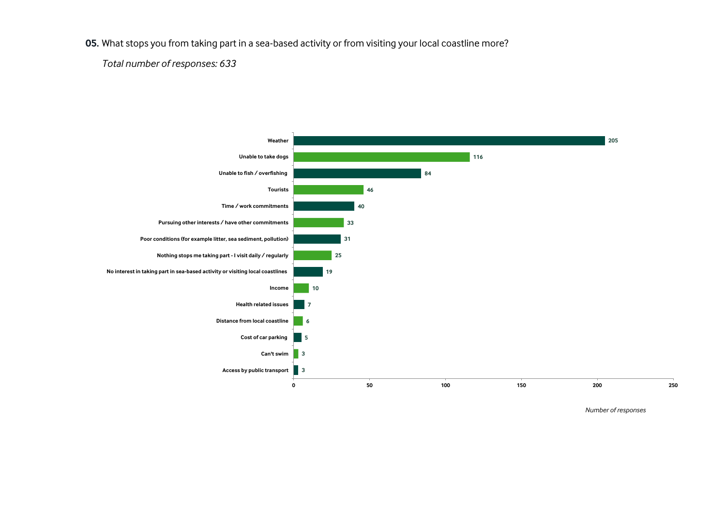**05.** What stops you from taking part in a sea-based activity or from visiting your local coastline more?

*Total number of responses: 633*



*Number of responses*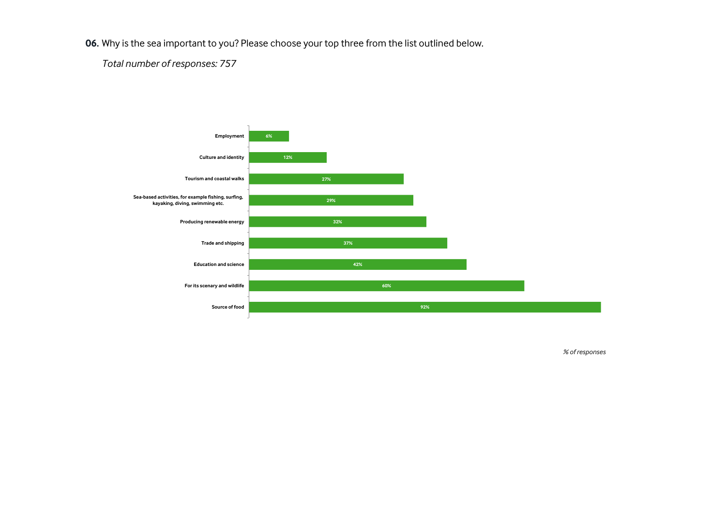**06.** Why is the sea important to you? Please choose your top three from the list outlined below.

*Total number of responses: 757*



*% of responses*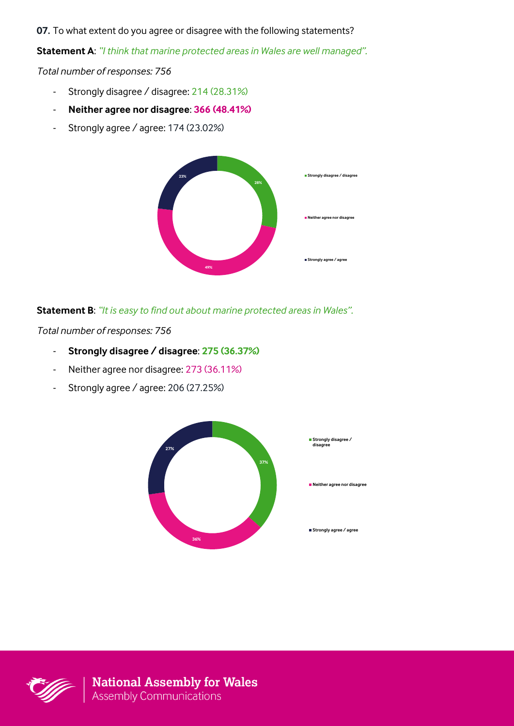**07.** To what extent do you agree or disagree with the following statements?

**Statement A**: *"I think that marine protected areas in Wales are well managed".*

*Total number of responses: 756*

- Strongly disagree / disagree: 214 (28.31%)
- **Neither agree nor disagree**: **366 (48.41%)**
- Strongly agree / agree: 174 (23.02%)



#### **Statement B**: *"It is easy to find out about marine protected areas in Wales".*

*Total number of responses: 756*

- **Strongly disagree / disagree**: **275 (36.37%)**
- Neither agree nor disagree: 273 (36.11%)
- Strongly agree / agree: 206 (27.25%)



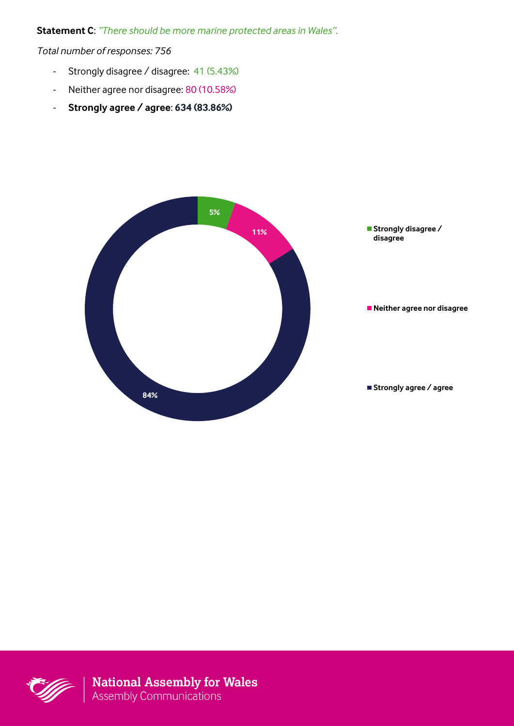**Statement C**: *"There should be more marine protected areas in Wales".*

*Total number of responses: 756*

- Strongly disagree / disagree: 41 (5.43%)
- Neither agree nor disagree: 80 (10.58%)
- **Strongly agree / agree**: **634 (83.86%)**



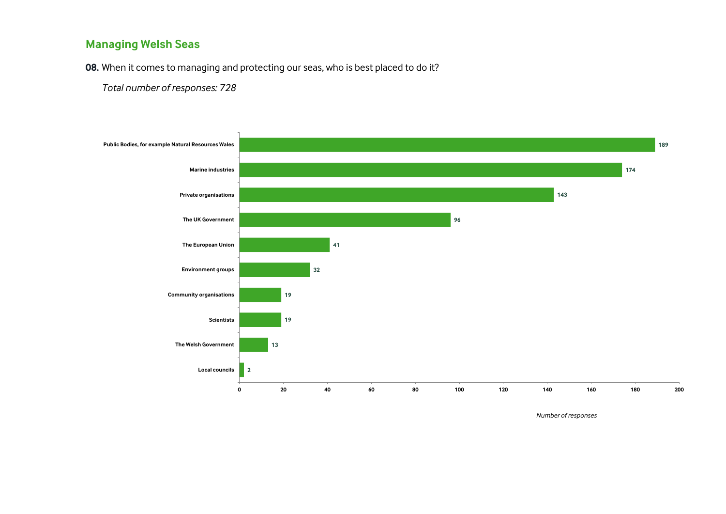# **Managing Welsh Seas**

**08.** When it comes to managing and protecting our seas, who is best placed to do it?

*Total number of responses: 728* 



*Number of responses*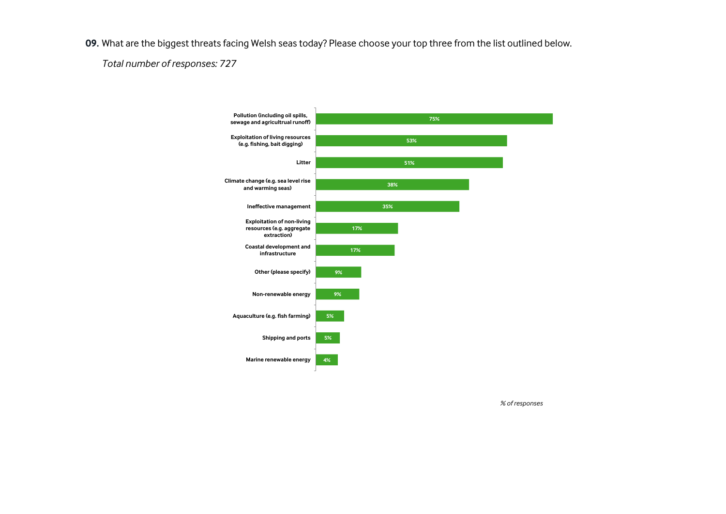**09.** What are the biggest threats facing Welsh seas today? Please choose your top three from the list outlined below.

*Total number of responses: 727* 



*% of responses*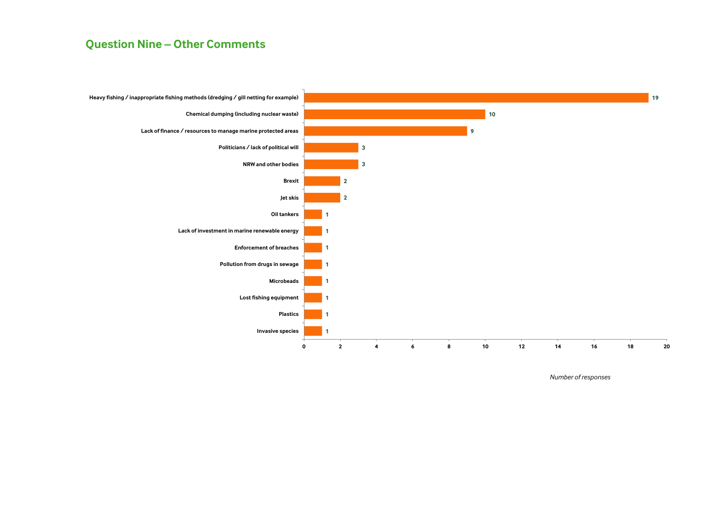#### **Question Nine – Other Comments**



*Number of responses*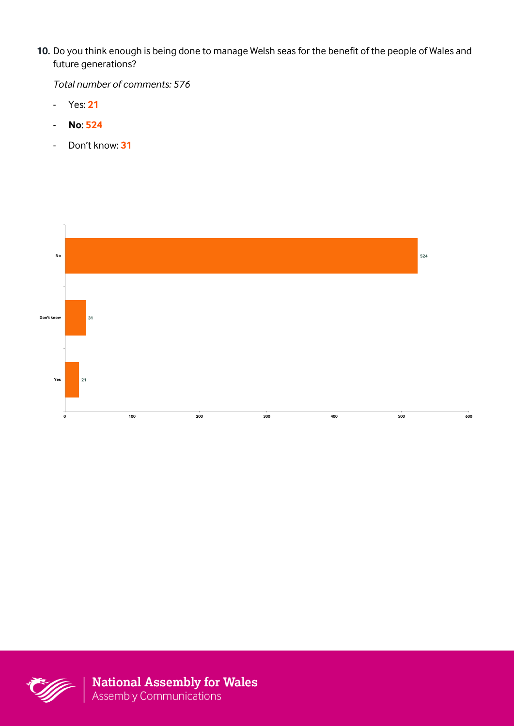**10.** Do you think enough is being done to manage Welsh seas for the benefit of the people of Wales and future generations?

*Total number of comments: 576* 

- Yes: **21**
- **No**: **524**
- Don't know: **31**



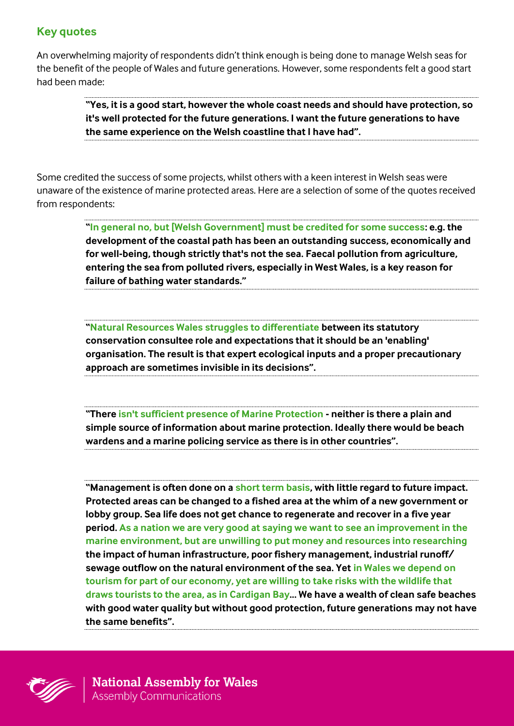# **Key quotes**

An overwhelming majority of respondents didn't think enough is being done to manage Welsh seas for the benefit of the people of Wales and future generations. However, some respondents felt a good start had been made:

> **"Yes, it is a good start, however the whole coast needs and should have protection, so it's well protected for the future generations. I want the future generations to have the same experience on the Welsh coastline that I have had".**

Some credited the success of some projects, whilst others with a keen interest in Welsh seas were unaware of the existence of marine protected areas. Here are a selection of some of the quotes received from respondents:

> **"In general no, but [Welsh Government] must be credited for some success: e.g. the development of the coastal path has been an outstanding success, economically and for well-being, though strictly that's not the sea. Faecal pollution from agriculture, entering the sea from polluted rivers, especially in West Wales, is a key reason for failure of bathing water standards."**

**"Natural Resources Wales struggles to differentiate between its statutory conservation consultee role and expectations that it should be an 'enabling' organisation. The result is that expert ecological inputs and a proper precautionary approach are sometimes invisible in its decisions".**

**"There isn't sufficient presence of Marine Protection - neither is there a plain and simple source of information about marine protection. Ideally there would be beach wardens and a marine policing service as there is in other countries".** 

**"Management is often done on a short term basis, with little regard to future impact. Protected areas can be changed to a fished area at the whim of a new government or lobby group. Sea life does not get chance to regenerate and recover in a five year period. As a nation we are very good at saying we want to see an improvement in the marine environment, but are unwilling to put money and resources into researching the impact of human infrastructure, poor fishery management, industrial runoff/ sewage outflow on the natural environment of the sea. Yet in Wales we depend on tourism for part of our economy, yet are willing to take risks with the wildlife that draws tourists to the area, as in Cardigan Bay... We have a wealth of clean safe beaches with good water quality but without good protection, future generations may not have the same benefits".** 

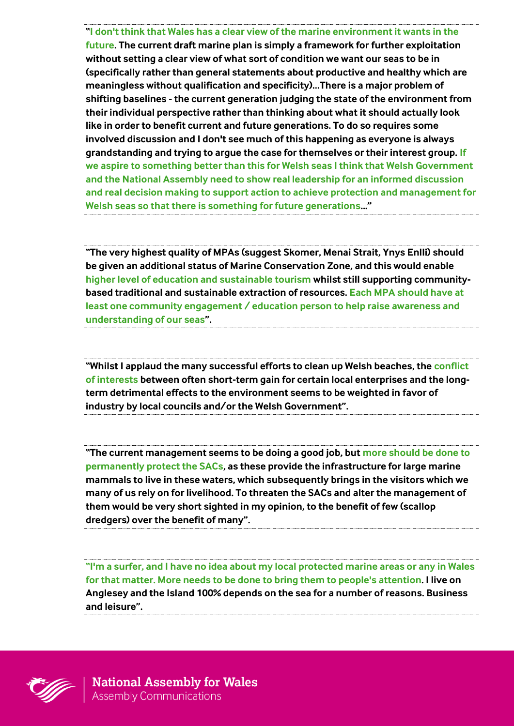**"I don't think that Wales has a clear view of the marine environment it wants in the future. The current draft marine plan is simply a framework for further exploitation without setting a clear view of what sort of condition we want our seas to be in (specifically rather than general statements about productive and healthy which are meaningless without qualification and specificity)…There is a major problem of shifting baselines - the current generation judging the state of the environment from their individual perspective rather than thinking about what it should actually look like in order to benefit current and future generations. To do so requires some involved discussion and I don't see much of this happening as everyone is always grandstanding and trying to argue the case for themselves or their interest group. If we aspire to something better than this for Welsh seas I think that Welsh Government and the National Assembly need to show real leadership for an informed discussion and real decision making to support action to achieve protection and management for Welsh seas so that there is something for future generations..."**

**"The very highest quality of MPAs (suggest Skomer, Menai Strait, Ynys Enlli) should be given an additional status of Marine Conservation Zone, and this would enable higher level of education and sustainable tourism whilst still supporting communitybased traditional and sustainable extraction of resources. Each MPA should have at least one community engagement / education person to help raise awareness and understanding of our seas".**

**"Whilst I applaud the many successful efforts to clean up Welsh beaches, the conflict of interests between often short-term gain for certain local enterprises and the longterm detrimental effects to the environment seems to be weighted in favor of industry by local councils and/or the Welsh Government".**

**"The current management seems to be doing a good job, but more should be done to permanently protect the SACs, as these provide the infrastructure for large marine mammals to live in these waters, which subsequently brings in the visitors which we many of us rely on for livelihood. To threaten the SACs and alter the management of them would be very short sighted in my opinion, to the benefit of few (scallop dredgers) over the benefit of many".**

**"I'm a surfer, and I have no idea about my local protected marine areas or any in Wales for that matter. More needs to be done to bring them to people's attention. I live on Anglesey and the Island 100% depends on the sea for a number of reasons. Business and leisure".** 

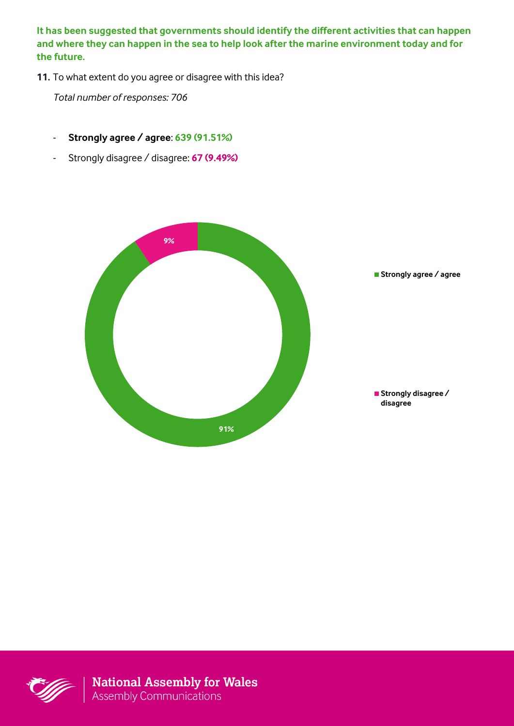**It has been suggested that governments should identify the different activities that can happen and where they can happen in the sea to help look after the marine environment today and for the future.** 

**11.** To what extent do you agree or disagree with this idea?

*Total number of responses: 706*

- **Strongly agree / agree**: **639 (91.51%)**
- Strongly disagree / disagree: **67 (9.49%)**